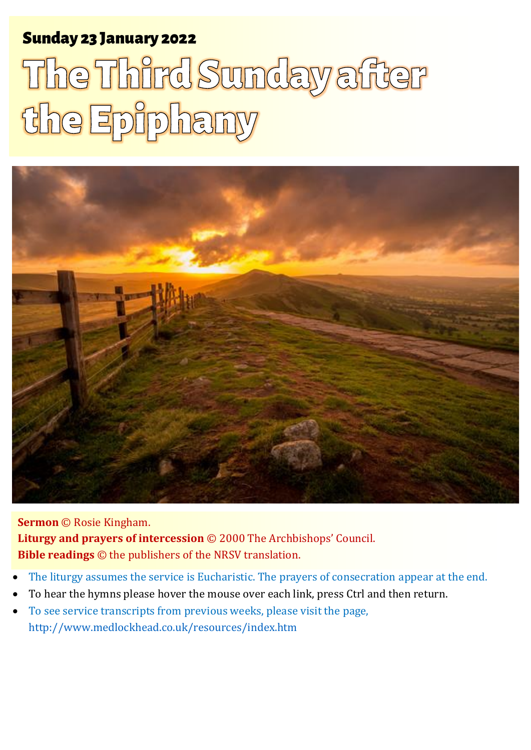# Sunday 23 January 2022 1 **The Third Sunday the Epiphany** Sunday 23 January 2022

# The Third Sunday after the Epiphany



**Sermon** © Rosie Kingham. **Liturgy and prayers of intercession** © 2000 The Archbishops' Council. **Bible readings** © the publishers of the NRSV translation.

- The liturgy assumes the service is Eucharistic. The prayers of consecration appear at the end.
- To hear the hymns please hover the mouse over each link, press Ctrl and then return.
- To see service transcripts from previous weeks, please visit the page, <http://www.medlockhead.co.uk/resources/index.htm>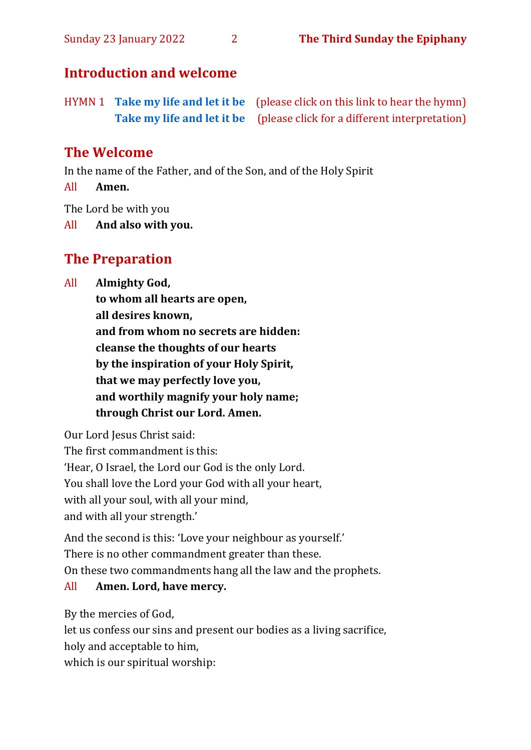# **Introduction and welcome**

HYMN 1 **[Take my life and let it be](https://www.youtube.com/watch?v=9speOjVQ3ZA)** (please click on this link to hear the hymn) **[Take my life and let it be](https://www.youtube.com/watch?v=Of4l5bTdZ8M)** (please click for a different interpretation)

# **The Welcome**

In the name of the Father, and of the Son, and of the Holy Spirit

All **Amen.**

The Lord be with you

All **And also with you.**

# **The Preparation**

All **Almighty God,**

**to whom all hearts are open, all desires known, and from whom no secrets are hidden: cleanse the thoughts of our hearts by the inspiration of your Holy Spirit, that we may perfectly love you, and worthily magnify your holy name; through Christ our Lord. Amen.**

Our Lord Jesus Christ said: The first commandment is this: 'Hear, O Israel, the Lord our God is the only Lord. You shall love the Lord your God with all your heart, with all your soul, with all your mind, and with all your strength.'

And the second is this: 'Love your neighbour as yourself.' There is no other commandment greater than these. On these two commandments hang all the law and the prophets.

# All **Amen. Lord, have mercy.**

By the mercies of God,

let us confess our sins and present our bodies as a living sacrifice,

holy and acceptable to him,

which is our spiritual worship: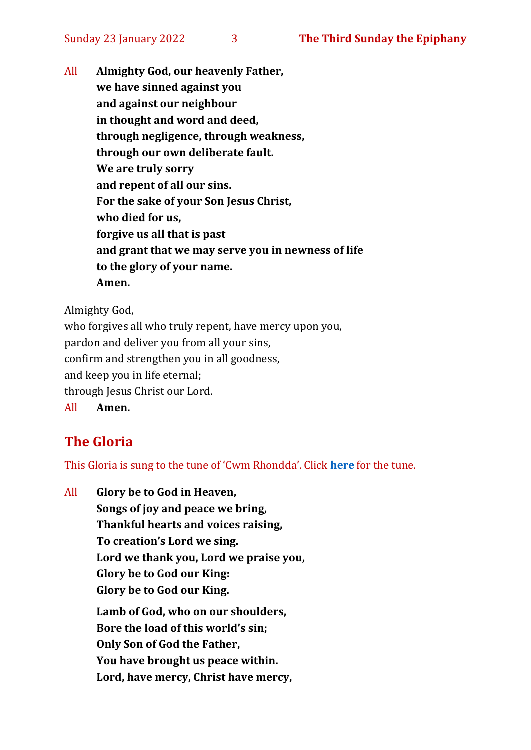All **Almighty God, our heavenly Father, we have sinned against you and against our neighbour in thought and word and deed, through negligence, through weakness, through our own deliberate fault. We are truly sorry and repent of all our sins. For the sake of your Son Jesus Christ, who died for us, forgive us all that is past and grant that we may serve you in newness of life to the glory of your name. Amen.**

Almighty God,

who forgives all who truly repent, have mercy upon you, pardon and deliver you from all your sins, confirm and strengthen you in all goodness, and keep you in life eternal; through Jesus Christ our Lord. All **Amen.**

# **The Gloria**

This Gloria is sung to the tune of 'Cwm Rhondda'. Click **[here](about:blank)** for the tune.

All **Glory be to God in Heaven, Songs of joy and peace we bring, Thankful hearts and voices raising, To creation's Lord we sing. Lord we thank you, Lord we praise you, Glory be to God our King: Glory be to God our King. Lamb of God, who on our shoulders, Bore the load of this world's sin; Only Son of God the Father, You have brought us peace within. Lord, have mercy, Christ have mercy,**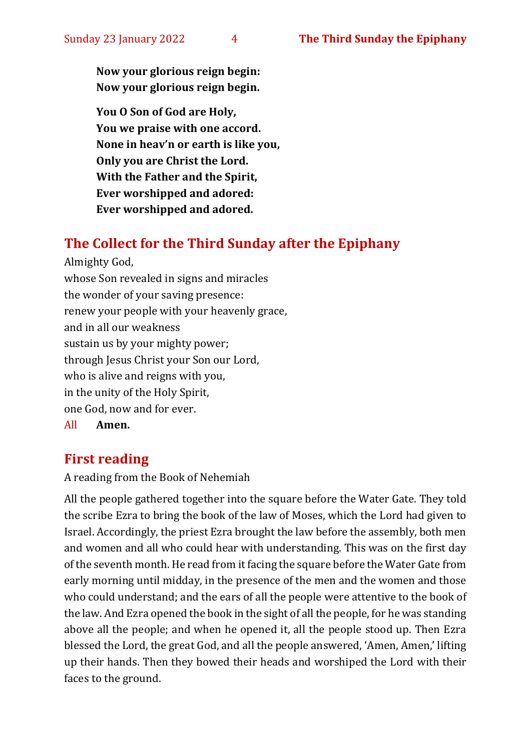**Now your glorious reign begin: Now your glorious reign begin.**

**You O Son of God are Holy, You we praise with one accord. None in heav'n or earth is like you, Only you are Christ the Lord. With the Father and the Spirit, Ever worshipped and adored: Ever worshipped and adored.**

# **The Collect for the Third Sunday after the Epiphany**

Almighty God, whose Son revealed in signs and miracles the wonder of your saving presence: renew your people with your heavenly grace, and in all our weakness sustain us by your mighty power; through Jesus Christ your Son our Lord, who is alive and reigns with you, in the unity of the Holy Spirit, one God, now and for ever. All **Amen.**

# **First reading**

A reading from the Book of Nehemiah

All the people gathered together into the square before the Water Gate. They told the scribe Ezra to bring the book of the law of Moses, which the Lord had given to Israel. Accordingly, the priest Ezra brought the law before the assembly, both men and women and all who could hear with understanding. This was on the first day of the seventh month. He read from it facing the square before the Water Gate from early morning until midday, in the presence of the men and the women and those who could understand; and the ears of all the people were attentive to the book of the law. And Ezra opened the book in the sight of all the people, for he was standing above all the people; and when he opened it, all the people stood up. Then Ezra blessed the Lord, the great God, and all the people answered, 'Amen, Amen,' lifting up their hands. Then they bowed their heads and worshiped the Lord with their faces to the ground.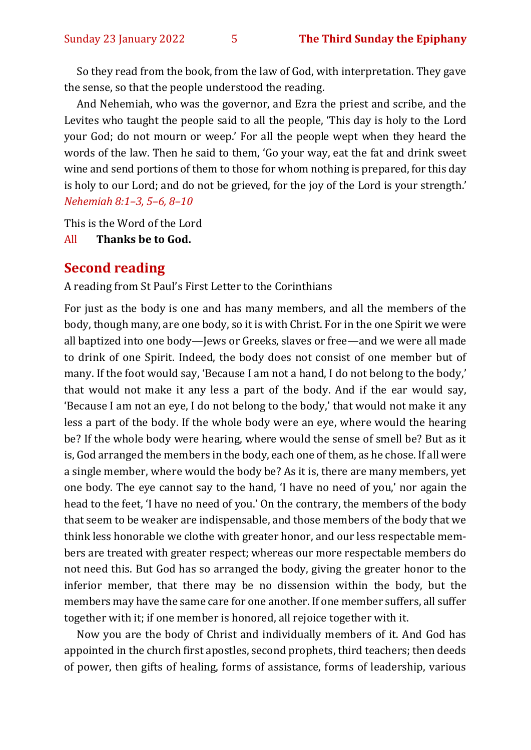So they read from the book, from the law of God, with interpretation. They gave the sense, so that the people understood the reading.

And Nehemiah, who was the governor, and Ezra the priest and scribe, and the Levites who taught the people said to all the people, 'This day is holy to the Lord your God; do not mourn or weep.' For all the people wept when they heard the words of the law. Then he said to them, 'Go your way, eat the fat and drink sweet wine and send portions of them to those for whom nothing is prepared, for this day is holy to our Lord; and do not be grieved, for the joy of the Lord is your strength.' *Nehemiah 8:1–3, 5–6, 8–10*

This is the Word of the Lord

All **Thanks be to God.**

#### **Second reading**

A reading from St Paul's First Letter to the Corinthians

For just as the body is one and has many members, and all the members of the body, though many, are one body, so it is with Christ. For in the one Spirit we were all baptized into one body—Jews or Greeks, slaves or free—and we were all made to drink of one Spirit. Indeed, the body does not consist of one member but of many. If the foot would say, 'Because I am not a hand, I do not belong to the body,' that would not make it any less a part of the body. And if the ear would say, 'Because I am not an eye, I do not belong to the body,' that would not make it any less a part of the body. If the whole body were an eye, where would the hearing be? If the whole body were hearing, where would the sense of smell be? But as it is, God arranged the members in the body, each one of them, as he chose. If all were a single member, where would the body be? As it is, there are many members, yet one body. The eye cannot say to the hand, 'I have no need of you,' nor again the head to the feet, 'I have no need of you.' On the contrary, the members of the body that seem to be weaker are indispensable, and those members of the body that we think less honorable we clothe with greater honor, and our less respectable members are treated with greater respect; whereas our more respectable members do not need this. But God has so arranged the body, giving the greater honor to the inferior member, that there may be no dissension within the body, but the members may have the same care for one another. If one member suffers, all suffer together with it; if one member is honored, all rejoice together with it.

Now you are the body of Christ and individually members of it. And God has appointed in the church first apostles, second prophets, third teachers; then deeds of power, then gifts of healing, forms of assistance, forms of leadership, various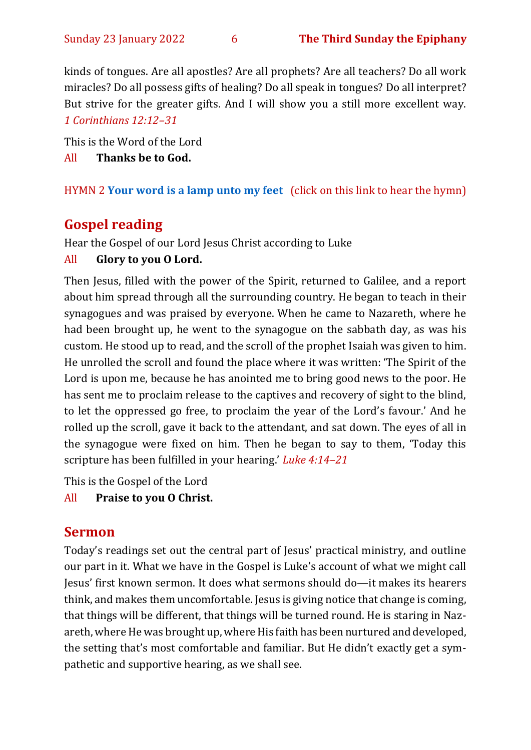kinds of tongues. Are all apostles? Are all prophets? Are all teachers? Do all work miracles? Do all possess gifts of healing? Do all speak in tongues? Do all interpret? But strive for the greater gifts. And I will show you a still more excellent way. *1 Corinthians 12:12–31*

This is the Word of the Lord

All **Thanks be to God.**

HYMN 2 **[Your word is a lamp unto my feet](https://www.youtube.com/watch?v=npWJZwgmKMo)** (click on this link to hear the hymn)

# **Gospel reading**

Hear the Gospel of our Lord Jesus Christ according to Luke

#### All **Glory to you O Lord.**

Then Jesus, filled with the power of the Spirit, returned to Galilee, and a report about him spread through all the surrounding country. He began to teach in their synagogues and was praised by everyone. When he came to Nazareth, where he had been brought up, he went to the synagogue on the sabbath day, as was his custom. He stood up to read, and the scroll of the prophet Isaiah was given to him. He unrolled the scroll and found the place where it was written: 'The Spirit of the Lord is upon me, because he has anointed me to bring good news to the poor. He has sent me to proclaim release to the captives and recovery of sight to the blind, to let the oppressed go free, to proclaim the year of the Lord's favour.' And he rolled up the scroll, gave it back to the attendant, and sat down. The eyes of all in the synagogue were fixed on him. Then he began to say to them, 'Today this scripture has been fulfilled in your hearing.' *Luke 4:14–21*

This is the Gospel of the Lord

#### All **Praise to you O Christ.**

# **Sermon**

Today's readings set out the central part of Jesus' practical ministry, and outline our part in it. What we have in the Gospel is Luke's account of what we might call Jesus' first known sermon. It does what sermons should do—it makes its hearers think, and makes them uncomfortable. Jesus is giving notice that change is coming, that things will be different, that things will be turned round. He is staring in Nazareth, where He was brought up, where His faith has been nurtured and developed, the setting that's most comfortable and familiar. But He didn't exactly get a sympathetic and supportive hearing, as we shall see.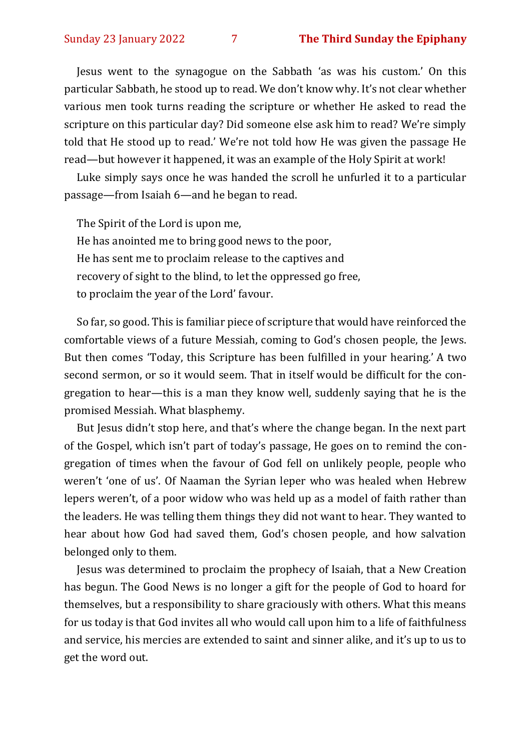Jesus went to the synagogue on the Sabbath 'as was his custom.' On this particular Sabbath, he stood up to read. We don't know why. It's not clear whether various men took turns reading the scripture or whether He asked to read the scripture on this particular day? Did someone else ask him to read? We're simply told that He stood up to read.' We're not told how He was given the passage He read—but however it happened, it was an example of the Holy Spirit at work!

Luke simply says once he was handed the scroll he unfurled it to a particular passage—from Isaiah 6—and he began to read.

The Spirit of the Lord is upon me, He has anointed me to bring good news to the poor, He has sent me to proclaim release to the captives and recovery of sight to the blind, to let the oppressed go free, to proclaim the year of the Lord' favour.

So far, so good. This is familiar piece of scripture that would have reinforced the comfortable views of a future Messiah, coming to God's chosen people, the Jews. But then comes 'Today, this Scripture has been fulfilled in your hearing.' A two second sermon, or so it would seem. That in itself would be difficult for the congregation to hear—this is a man they know well, suddenly saying that he is the promised Messiah. What blasphemy.

But Jesus didn't stop here, and that's where the change began. In the next part of the Gospel, which isn't part of today's passage, He goes on to remind the congregation of times when the favour of God fell on unlikely people, people who weren't 'one of us'. Of Naaman the Syrian leper who was healed when Hebrew lepers weren't, of a poor widow who was held up as a model of faith rather than the leaders. He was telling them things they did not want to hear. They wanted to hear about how God had saved them, God's chosen people, and how salvation belonged only to them.

Jesus was determined to proclaim the prophecy of Isaiah, that a New Creation has begun. The Good News is no longer a gift for the people of God to hoard for themselves, but a responsibility to share graciously with others. What this means for us today is that God invites all who would call upon him to a life of faithfulness and service, his mercies are extended to saint and sinner alike, and it's up to us to get the word out.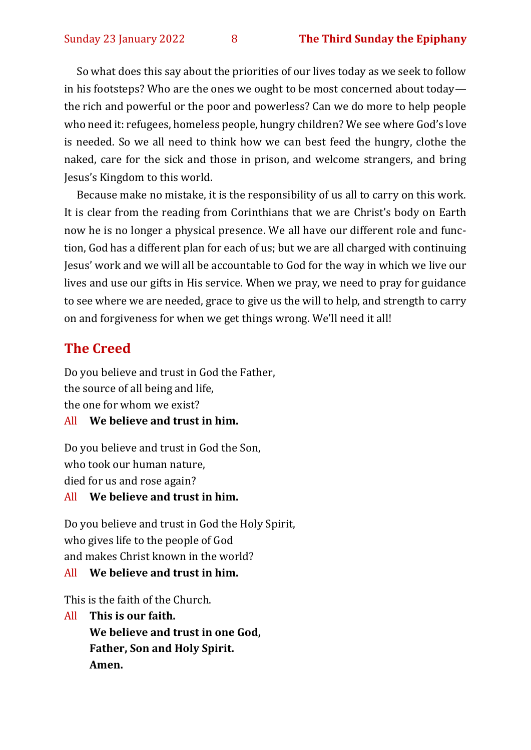So what does this say about the priorities of our lives today as we seek to follow in his footsteps? Who are the ones we ought to be most concerned about today the rich and powerful or the poor and powerless? Can we do more to help people who need it: refugees, homeless people, hungry children? We see where God's love is needed. So we all need to think how we can best feed the hungry, clothe the naked, care for the sick and those in prison, and welcome strangers, and bring Jesus's Kingdom to this world.

Because make no mistake, it is the responsibility of us all to carry on this work. It is clear from the reading from Corinthians that we are Christ's body on Earth now he is no longer a physical presence. We all have our different role and function, God has a different plan for each of us; but we are all charged with continuing Jesus' work and we will all be accountable to God for the way in which we live our lives and use our gifts in His service. When we pray, we need to pray for guidance to see where we are needed, grace to give us the will to help, and strength to carry on and forgiveness for when we get things wrong. We'll need it all!

# **The Creed**

Do you believe and trust in God the Father, the source of all being and life, the one for whom we exist?

## All **We believe and trust in him.**

Do you believe and trust in God the Son, who took our human nature, died for us and rose again?

#### All **We believe and trust in him.**

Do you believe and trust in God the Holy Spirit, who gives life to the people of God and makes Christ known in the world?

#### All **We believe and trust in him.**

This is the faith of the Church.

All **This is our faith. We believe and trust in one God, Father, Son and Holy Spirit. Amen.**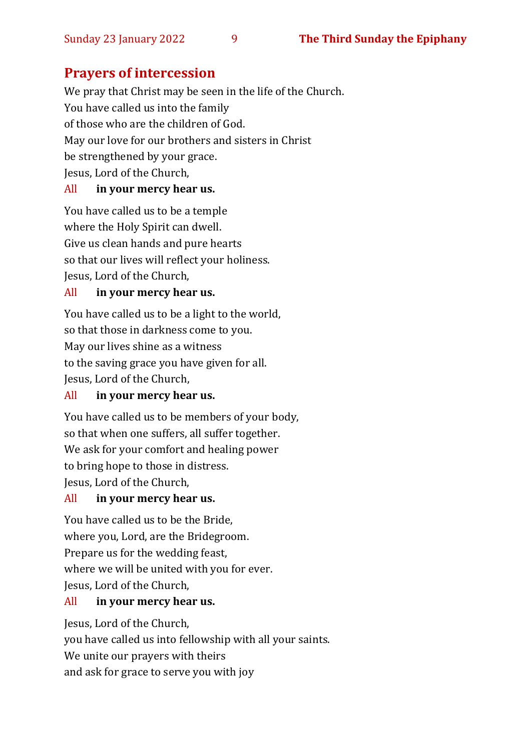# **Prayers of intercession**

We pray that Christ may be seen in the life of the Church. You have called us into the family of those who are the children of God. May our love for our brothers and sisters in Christ be strengthened by your grace. Jesus, Lord of the Church,

#### All **in your mercy hear us.**

You have called us to be a temple where the Holy Spirit can dwell. Give us clean hands and pure hearts so that our lives will reflect your holiness. Jesus, Lord of the Church,

#### All **in your mercy hear us.**

You have called us to be a light to the world, so that those in darkness come to you. May our lives shine as a witness to the saving grace you have given for all. Jesus, Lord of the Church,

#### All **in your mercy hear us.**

You have called us to be members of your body, so that when one suffers, all suffer together. We ask for your comfort and healing power to bring hope to those in distress. Jesus, Lord of the Church,

#### All **in your mercy hear us.**

You have called us to be the Bride, where you, Lord, are the Bridegroom. Prepare us for the wedding feast, where we will be united with you for ever. Jesus, Lord of the Church,

#### All **in your mercy hear us.**

Jesus, Lord of the Church, you have called us into fellowship with all your saints. We unite our prayers with theirs and ask for grace to serve you with joy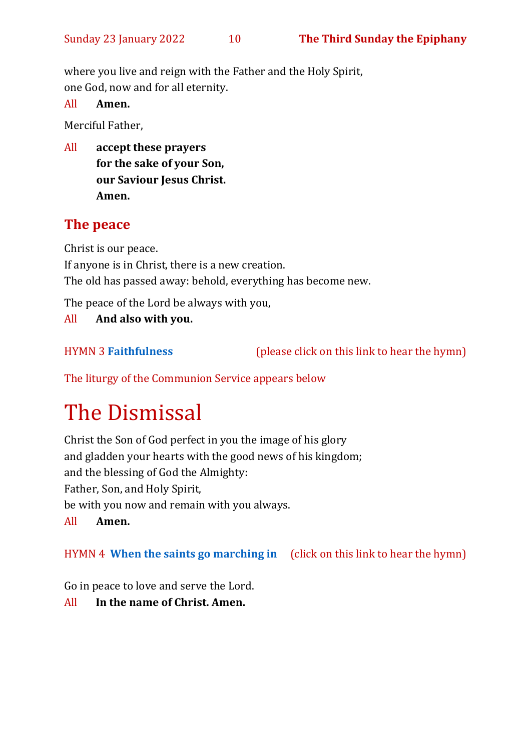where you live and reign with the Father and the Holy Spirit, one God, now and for all eternity.

All **Amen.**

Merciful Father,

All **accept these prayers for the sake of your Son, our Saviour Jesus Christ. Amen.**

# **The peace**

Christ is our peace. If anyone is in Christ, there is a new creation. The old has passed away: behold, everything has become new.

The peace of the Lord be always with you,

All **And also with you.**

HYMN 3 **[Faithfulness](https://www.youtube.com/watch?v=uHeEytocJVY)** (please click on this link to hear the hymn)

The liturgy of the Communion Service appears below

# The Dismissal

Christ the Son of God perfect in you the image of his glory and gladden your hearts with the good news of his kingdom; and the blessing of God the Almighty: Father, Son, and Holy Spirit, be with you now and remain with you always. All **Amen.**

HYMN 4 **[When the saints go marching in](https://www.youtube.com/watch?v=advlnJPEbEw)** (click on this link to hear the hymn)

Go in peace to love and serve the Lord.

All **In the name of Christ. Amen.**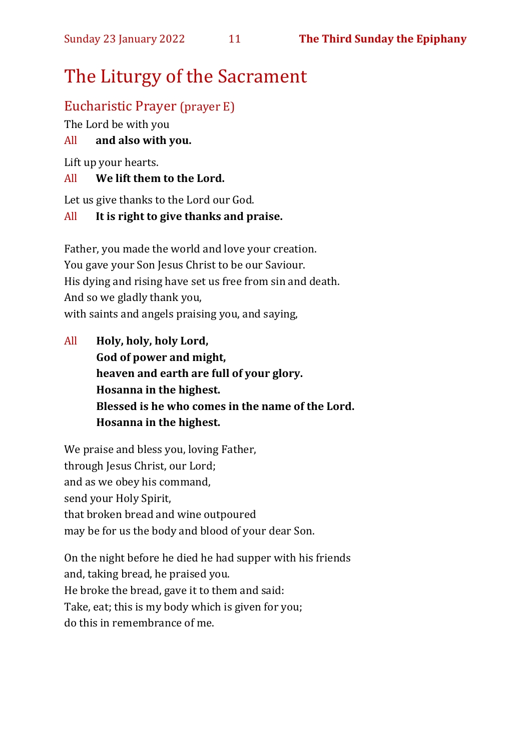# The Liturgy of the Sacrament

## Eucharistic Prayer (prayer E)

The Lord be with you

#### All **and also with you.**

Lift up your hearts.

#### All **We lift them to the Lord.**

Let us give thanks to the Lord our God.

#### All **It is right to give thanks and praise.**

Father, you made the world and love your creation. You gave your Son Jesus Christ to be our Saviour. His dying and rising have set us free from sin and death. And so we gladly thank you, with saints and angels praising you, and saying,

All **Holy, holy, holy Lord, God of power and might, heaven and earth are full of your glory. Hosanna in the highest. Blessed is he who comes in the name of the Lord. Hosanna in the highest.**

We praise and bless you, loving Father, through Jesus Christ, our Lord; and as we obey his command, send your Holy Spirit, that broken bread and wine outpoured may be for us the body and blood of your dear Son.

On the night before he died he had supper with his friends and, taking bread, he praised you. He broke the bread, gave it to them and said: Take, eat; this is my body which is given for you; do this in remembrance of me.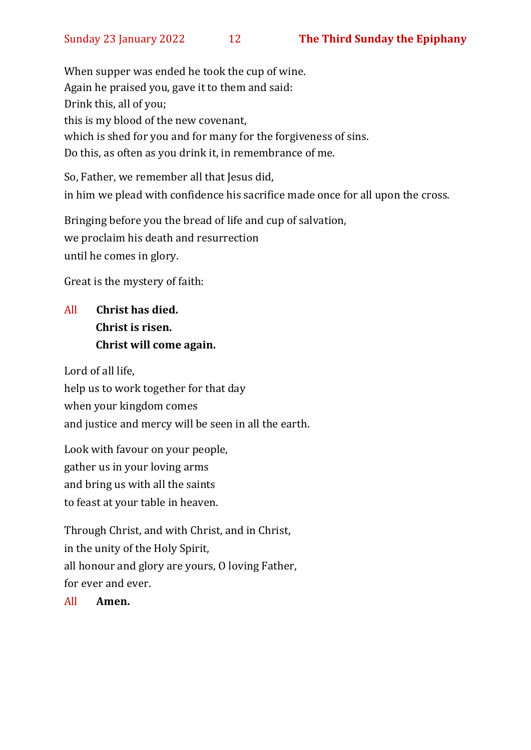When supper was ended he took the cup of wine. Again he praised you, gave it to them and said: Drink this, all of you; this is my blood of the new covenant, which is shed for you and for many for the forgiveness of sins. Do this, as often as you drink it, in remembrance of me.

So, Father, we remember all that Jesus did, in him we plead with confidence his sacrifice made once for all upon the cross.

Bringing before you the bread of life and cup of salvation, we proclaim his death and resurrection until he comes in glory.

Great is the mystery of faith:

# All **Christ has died. Christ is risen. Christ will come again.**

Lord of all life, help us to work together for that day when your kingdom comes and justice and mercy will be seen in all the earth.

Look with favour on your people, gather us in your loving arms and bring us with all the saints to feast at your table in heaven.

Through Christ, and with Christ, and in Christ, in the unity of the Holy Spirit, all honour and glory are yours, O loving Father, for ever and ever.

All **Amen.**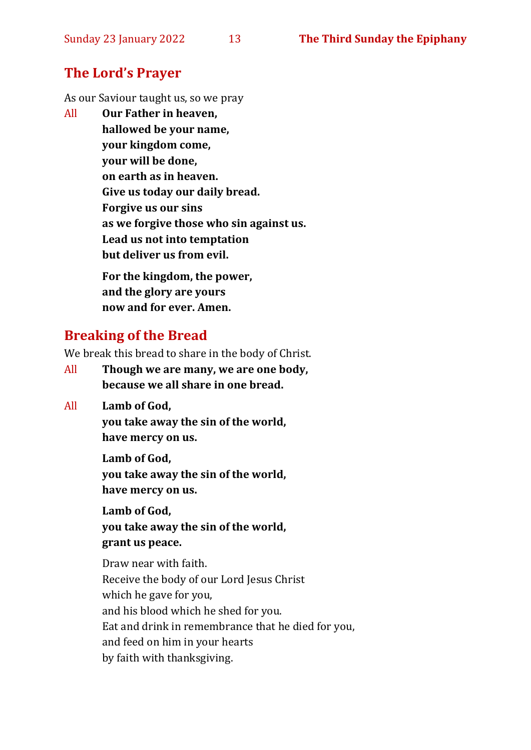#### **The Lord's Prayer**

As our Saviour taught us, so we pray

All **Our Father in heaven, hallowed be your name, your kingdom come, your will be done, on earth as in heaven. Give us today our daily bread. Forgive us our sins as we forgive those who sin against us. Lead us not into temptation but deliver us from evil. For the kingdom, the power,** 

**and the glory are yours now and for ever. Amen.**

#### **Breaking of the Bread**

We break this bread to share in the body of Christ.

- All **Though we are many, we are one body, because we all share in one bread.**
- All **Lamb of God,**

**you take away the sin of the world, have mercy on us.**

**Lamb of God, you take away the sin of the world, have mercy on us.**

**Lamb of God, you take away the sin of the world, grant us peace.**

Draw near with faith. Receive the body of our Lord Jesus Christ which he gave for you, and his blood which he shed for you. Eat and drink in remembrance that he died for you, and feed on him in your hearts by faith with thanksgiving.